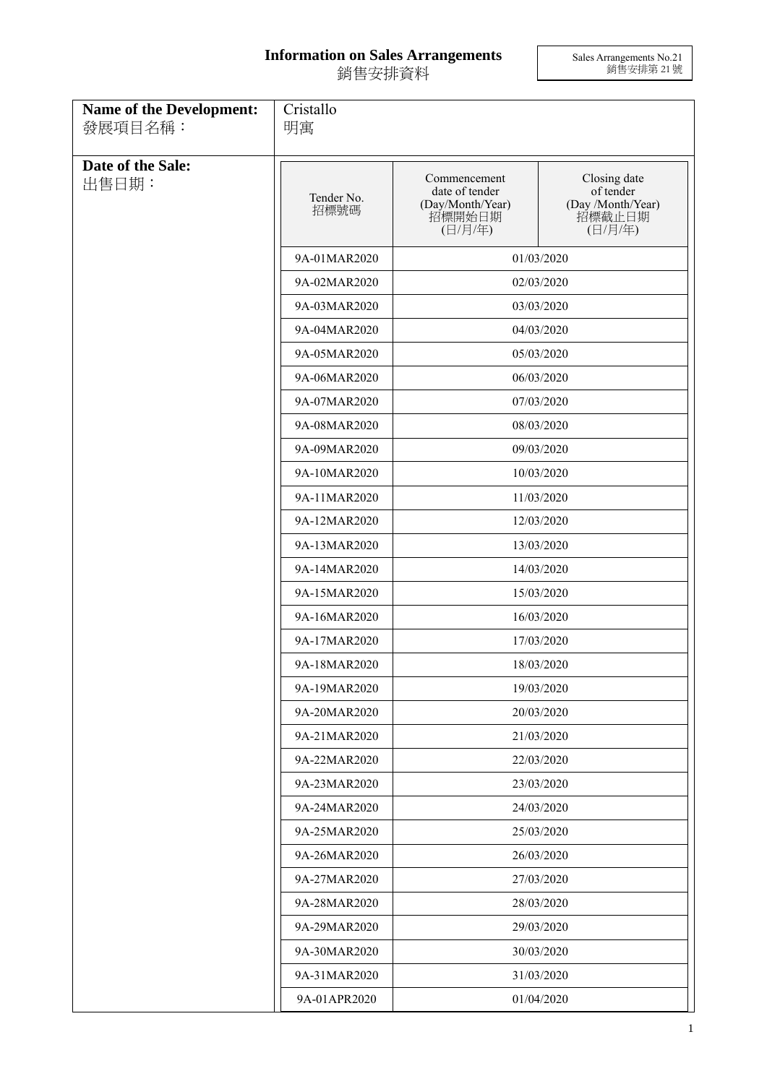## **Information on Sales Arrangements** 銷售安排資料

Sales Arrangements No.21 銷售安排第 21 號

| <b>Name of the Development:</b><br>發展項目名稱: | Cristallo<br>明寓            |                                                                         |                                                                     |  |
|--------------------------------------------|----------------------------|-------------------------------------------------------------------------|---------------------------------------------------------------------|--|
| Date of the Sale:<br>出售日期:                 | Tender No.<br>招標號碼         | Commencement<br>date of tender<br>(Day/Month/Year)<br>招標開始日期<br>(日/月/年) | Closing date<br>of tender<br>(Day /Month/Year)<br>招標截止日期<br>(日/月/年) |  |
|                                            | 9A-01MAR2020               |                                                                         | 01/03/2020                                                          |  |
|                                            | 9A-02MAR2020               |                                                                         | 02/03/2020                                                          |  |
|                                            | 9A-03MAR2020               | 03/03/2020                                                              |                                                                     |  |
|                                            | 9A-04MAR2020               |                                                                         | 04/03/2020                                                          |  |
|                                            | 9A-05MAR2020               |                                                                         | 05/03/2020                                                          |  |
|                                            | 9A-06MAR2020               |                                                                         | 06/03/2020                                                          |  |
|                                            | 9A-07MAR2020               |                                                                         | 07/03/2020                                                          |  |
|                                            | 9A-08MAR2020               |                                                                         | 08/03/2020                                                          |  |
|                                            | 9A-09MAR2020               |                                                                         | 09/03/2020                                                          |  |
|                                            | 9A-10MAR2020               |                                                                         | 10/03/2020                                                          |  |
|                                            | 9A-11MAR2020               | 11/03/2020                                                              |                                                                     |  |
|                                            | 9A-12MAR2020               |                                                                         | 12/03/2020                                                          |  |
|                                            | 9A-13MAR2020               |                                                                         | 13/03/2020                                                          |  |
|                                            | 9A-14MAR2020               |                                                                         | 14/03/2020                                                          |  |
|                                            | 9A-15MAR2020               |                                                                         | 15/03/2020                                                          |  |
|                                            | 9A-16MAR2020               |                                                                         | 16/03/2020                                                          |  |
|                                            | 9A-17MAR2020               |                                                                         | 17/03/2020                                                          |  |
|                                            | 9A-18MAR2020               |                                                                         | 18/03/2020                                                          |  |
|                                            | 9A-19MAR2020               |                                                                         | 19/03/2020                                                          |  |
|                                            | 9A-20MAR2020               | 20/03/2020                                                              |                                                                     |  |
|                                            | 9A-21MAR2020               |                                                                         | 21/03/2020                                                          |  |
|                                            | 9A-22MAR2020               |                                                                         | 22/03/2020                                                          |  |
|                                            | 9A-23MAR2020               |                                                                         | 23/03/2020                                                          |  |
|                                            | 9A-24MAR2020               |                                                                         | 24/03/2020                                                          |  |
|                                            | 9A-25MAR2020               |                                                                         | 25/03/2020                                                          |  |
|                                            | 9A-26MAR2020               |                                                                         | 26/03/2020                                                          |  |
|                                            | 9A-27MAR2020               |                                                                         | 27/03/2020                                                          |  |
|                                            | 9A-28MAR2020               |                                                                         | 28/03/2020                                                          |  |
|                                            | 9A-29MAR2020<br>29/03/2020 |                                                                         |                                                                     |  |
|                                            | 9A-30MAR2020               | 30/03/2020                                                              |                                                                     |  |
|                                            | 9A-31MAR2020               |                                                                         | 31/03/2020                                                          |  |
|                                            | 9A-01APR2020               |                                                                         | 01/04/2020                                                          |  |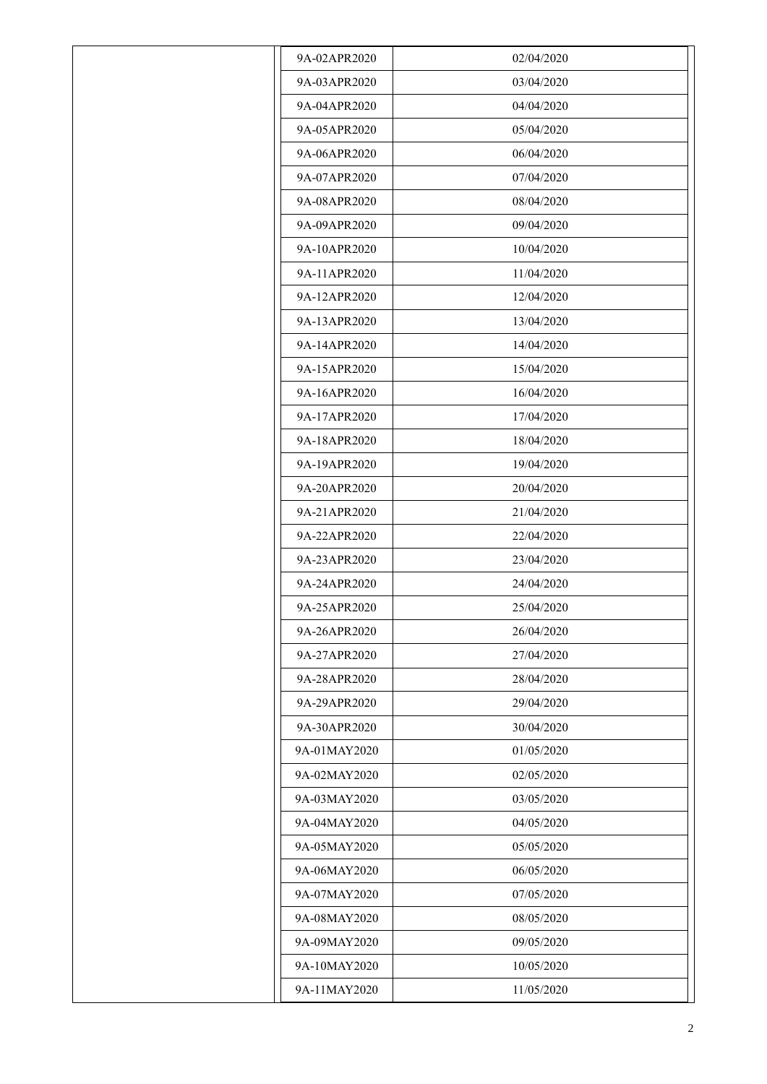| 9A-02APR2020 | 02/04/2020 |
|--------------|------------|
| 9A-03APR2020 | 03/04/2020 |
| 9A-04APR2020 | 04/04/2020 |
| 9A-05APR2020 | 05/04/2020 |
| 9A-06APR2020 | 06/04/2020 |
| 9A-07APR2020 | 07/04/2020 |
| 9A-08APR2020 | 08/04/2020 |
| 9A-09APR2020 | 09/04/2020 |
| 9A-10APR2020 | 10/04/2020 |
| 9A-11APR2020 | 11/04/2020 |
| 9A-12APR2020 | 12/04/2020 |
| 9A-13APR2020 | 13/04/2020 |
| 9A-14APR2020 | 14/04/2020 |
| 9A-15APR2020 | 15/04/2020 |
| 9A-16APR2020 | 16/04/2020 |
| 9A-17APR2020 | 17/04/2020 |
| 9A-18APR2020 | 18/04/2020 |
| 9A-19APR2020 | 19/04/2020 |
| 9A-20APR2020 | 20/04/2020 |
| 9A-21APR2020 | 21/04/2020 |
| 9A-22APR2020 | 22/04/2020 |
| 9A-23APR2020 | 23/04/2020 |
| 9A-24APR2020 | 24/04/2020 |
| 9A-25APR2020 | 25/04/2020 |
| 9A-26APR2020 | 26/04/2020 |
| 9A-27APR2020 | 27/04/2020 |
| 9A-28APR2020 | 28/04/2020 |
| 9A-29APR2020 | 29/04/2020 |
| 9A-30APR2020 | 30/04/2020 |
| 9A-01MAY2020 | 01/05/2020 |
| 9A-02MAY2020 | 02/05/2020 |
| 9A-03MAY2020 | 03/05/2020 |
| 9A-04MAY2020 | 04/05/2020 |
| 9A-05MAY2020 | 05/05/2020 |
| 9A-06MAY2020 | 06/05/2020 |
| 9A-07MAY2020 | 07/05/2020 |
| 9A-08MAY2020 | 08/05/2020 |
| 9A-09MAY2020 | 09/05/2020 |
| 9A-10MAY2020 | 10/05/2020 |
| 9A-11MAY2020 | 11/05/2020 |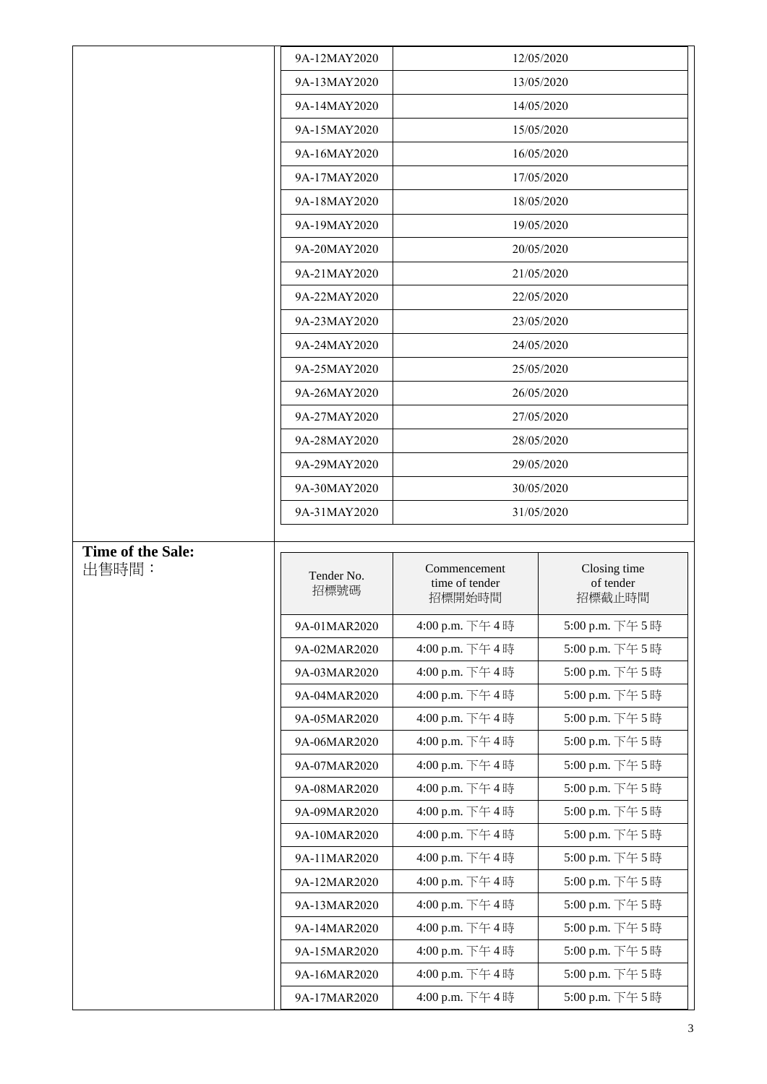|                            | 9A-12MAY2020       |                                          | 12/05/2020                          |
|----------------------------|--------------------|------------------------------------------|-------------------------------------|
|                            | 9A-13MAY2020       |                                          | 13/05/2020                          |
|                            | 9A-14MAY2020       |                                          | 14/05/2020                          |
|                            | 9A-15MAY2020       |                                          | 15/05/2020                          |
|                            | 9A-16MAY2020       |                                          | 16/05/2020                          |
|                            | 9A-17MAY2020       |                                          | 17/05/2020                          |
|                            | 9A-18MAY2020       |                                          | 18/05/2020                          |
|                            | 9A-19MAY2020       |                                          | 19/05/2020                          |
|                            | 9A-20MAY2020       | 20/05/2020                               |                                     |
|                            | 9A-21MAY2020       |                                          | 21/05/2020                          |
|                            | 9A-22MAY2020       |                                          | 22/05/2020                          |
|                            | 9A-23MAY2020       |                                          | 23/05/2020                          |
|                            | 9A-24MAY2020       |                                          | 24/05/2020                          |
|                            | 9A-25MAY2020       |                                          | 25/05/2020                          |
|                            | 9A-26MAY2020       |                                          | 26/05/2020                          |
|                            | 9A-27MAY2020       |                                          | 27/05/2020                          |
|                            | 9A-28MAY2020       |                                          | 28/05/2020                          |
|                            | 9A-29MAY2020       |                                          | 29/05/2020                          |
|                            | 9A-30MAY2020       |                                          | 30/05/2020                          |
|                            | 9A-31MAY2020       |                                          | 31/05/2020                          |
|                            |                    |                                          |                                     |
|                            |                    |                                          |                                     |
| Time of the Sale:<br>出售時間: | Tender No.<br>招標號碼 | Commencement<br>time of tender<br>招標開始時間 | Closing time<br>of tender<br>招標截止時間 |
|                            | 9A-01MAR2020       | 4:00 p.m. 下午4時                           | 5:00 p.m. 下午5時                      |
|                            | 9A-02MAR2020       | 4:00 p.m. 下午4時                           | 5:00 p.m. 下午5時                      |
|                            | 9A-03MAR2020       | 4:00 p.m. 下午4時                           | 5:00 p.m. 下午5時                      |
|                            | 9A-04MAR2020       | 4:00 p.m. 下午4時                           | 5:00 p.m. 下午5時                      |
|                            | 9A-05MAR2020       | 4:00 p.m. 下午4時                           | 5:00 p.m. 下午5時                      |
|                            | 9A-06MAR2020       | 4:00 p.m. 下午4時                           | 5:00 p.m. 下午5時                      |
|                            | 9A-07MAR2020       | 4:00 p.m. 下午4時                           | 5:00 p.m. 下午5時                      |
|                            | 9A-08MAR2020       | 4:00 p.m. 下午4時                           | 5:00 p.m. 下午5時                      |
|                            | 9A-09MAR2020       | 4:00 p.m. 下午4時                           | 5:00 p.m. 下午5時                      |
|                            | 9A-10MAR2020       | 4:00 p.m. 下午4時                           | 5:00 p.m. 下午5時                      |
|                            | 9A-11MAR2020       | 4:00 p.m. 下午4時                           | 5:00 p.m. 下午5時                      |
|                            | 9A-12MAR2020       | 4:00 p.m. 下午4時                           | 5:00 p.m. 下午5時                      |
|                            | 9A-13MAR2020       | 4:00 p.m. 下午4時                           | 5:00 p.m. 下午5時                      |
|                            | 9A-14MAR2020       | 4:00 p.m. 下午4時                           | 5:00 p.m. 下午5時                      |
|                            | 9A-15MAR2020       | 4:00 p.m. 下午4時                           | 5:00 p.m. 下午5時                      |
|                            | 9A-16MAR2020       | 4:00 p.m. 下午4時                           | 5:00 p.m. 下午5時                      |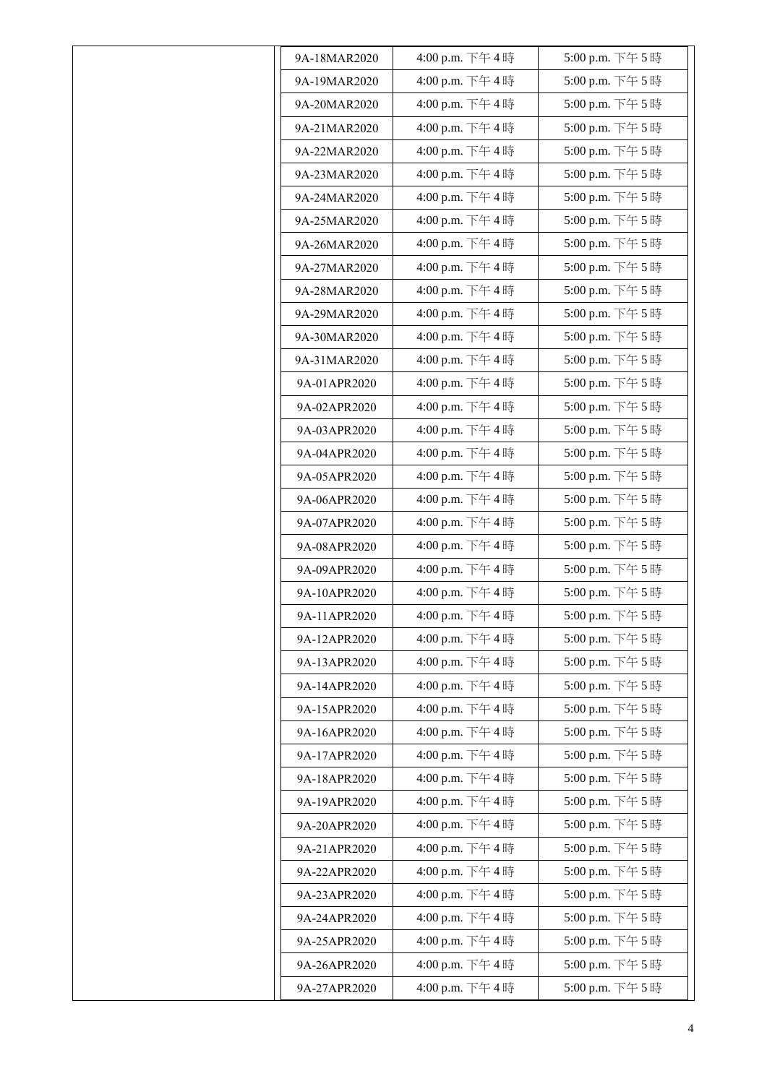| 9A-18MAR2020 | 4:00 p.m. 下午4時 | 5:00 p.m. 下午5時 |
|--------------|----------------|----------------|
| 9A-19MAR2020 | 4:00 p.m. 下午4時 | 5:00 p.m. 下午5時 |
| 9A-20MAR2020 | 4:00 p.m. 下午4時 | 5:00 p.m. 下午5時 |
| 9A-21MAR2020 | 4:00 p.m. 下午4時 | 5:00 p.m. 下午5時 |
| 9A-22MAR2020 | 4:00 p.m. 下午4時 | 5:00 p.m. 下午5時 |
| 9A-23MAR2020 | 4:00 p.m. 下午4時 | 5:00 p.m. 下午5時 |
| 9A-24MAR2020 | 4:00 p.m. 下午4時 | 5:00 p.m. 下午5時 |
| 9A-25MAR2020 | 4:00 p.m. 下午4時 | 5:00 p.m. 下午5時 |
| 9A-26MAR2020 | 4:00 p.m. 下午4時 | 5:00 p.m. 下午5時 |
| 9A-27MAR2020 | 4:00 p.m. 下午4時 | 5:00 p.m. 下午5時 |
| 9A-28MAR2020 | 4:00 p.m. 下午4時 | 5:00 p.m. 下午5時 |
| 9A-29MAR2020 | 4:00 p.m. 下午4時 | 5:00 p.m. 下午5時 |
| 9A-30MAR2020 | 4:00 p.m. 下午4時 | 5:00 p.m. 下午5時 |
| 9A-31MAR2020 | 4:00 p.m. 下午4時 | 5:00 p.m. 下午5時 |
| 9A-01APR2020 | 4:00 p.m. 下午4時 | 5:00 p.m. 下午5時 |
| 9A-02APR2020 | 4:00 p.m. 下午4時 | 5:00 p.m. 下午5時 |
| 9A-03APR2020 | 4:00 p.m. 下午4時 | 5:00 p.m. 下午5時 |
| 9A-04APR2020 | 4:00 p.m. 下午4時 | 5:00 p.m. 下午5時 |
| 9A-05APR2020 | 4:00 p.m. 下午4時 | 5:00 p.m. 下午5時 |
| 9A-06APR2020 | 4:00 p.m. 下午4時 | 5:00 p.m. 下午5時 |
| 9A-07APR2020 | 4:00 p.m. 下午4時 | 5:00 p.m. 下午5時 |
| 9A-08APR2020 | 4:00 p.m. 下午4時 | 5:00 p.m. 下午5時 |
| 9A-09APR2020 | 4:00 p.m. 下午4時 | 5:00 p.m. 下午5時 |
| 9A-10APR2020 | 4:00 p.m. 下午4時 | 5:00 p.m. 下午5時 |
| 9A-11APR2020 | 4:00 p.m. 下午4時 | 5:00 p.m. 下午5時 |
| 9A-12APR2020 | 4:00 p.m. 下午4時 | 5:00 p.m. 下午5時 |
| 9A-13APR2020 | 4:00 p.m. 下午4時 | 5:00 p.m. 下午5時 |
| 9A-14APR2020 | 4:00 p.m. 下午4時 | 5:00 p.m. 下午5時 |
| 9A-15APR2020 | 4:00 p.m. 下午4時 | 5:00 p.m. 下午5時 |
| 9A-16APR2020 | 4:00 p.m. 下午4時 | 5:00 p.m. 下午5時 |
| 9A-17APR2020 | 4:00 p.m. 下午4時 | 5:00 p.m. 下午5時 |
| 9A-18APR2020 | 4:00 p.m. 下午4時 | 5:00 p.m. 下午5時 |
| 9A-19APR2020 | 4:00 p.m. 下午4時 | 5:00 p.m. 下午5時 |
| 9A-20APR2020 | 4:00 p.m. 下午4時 | 5:00 p.m. 下午5時 |
| 9A-21APR2020 | 4:00 p.m. 下午4時 | 5:00 p.m. 下午5時 |
| 9A-22APR2020 | 4:00 p.m. 下午4時 | 5:00 p.m. 下午5時 |
| 9A-23APR2020 | 4:00 p.m. 下午4時 | 5:00 p.m. 下午5時 |
| 9A-24APR2020 | 4:00 p.m. 下午4時 | 5:00 p.m. 下午5時 |
| 9A-25APR2020 | 4:00 p.m. 下午4時 | 5:00 p.m. 下午5時 |
| 9A-26APR2020 | 4:00 p.m. 下午4時 | 5:00 p.m. 下午5時 |
| 9A-27APR2020 | 4:00 p.m. 下午4時 | 5:00 p.m. 下午5時 |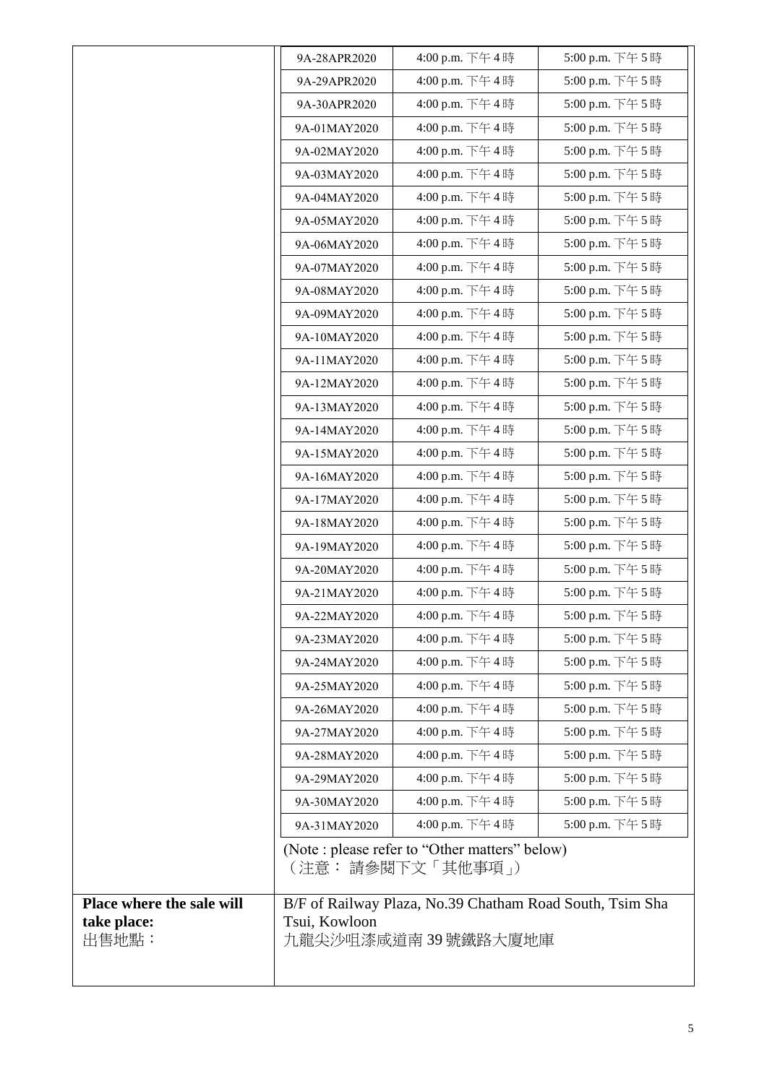|                           | 9A-28APR2020                                             | 4:00 p.m. 下午4時                                                       | 5:00 p.m. 下午5時  |
|---------------------------|----------------------------------------------------------|----------------------------------------------------------------------|-----------------|
|                           | 9A-29APR2020                                             | 4:00 p.m. 下午4時                                                       | 5:00 p.m. 下午 5時 |
|                           | 9A-30APR2020                                             | 4:00 p.m. 下午4時                                                       | 5:00 p.m. 下午5時  |
|                           | 9A-01MAY2020                                             | 4:00 p.m. 下午4時                                                       | 5:00 p.m. 下午5時  |
|                           | 9A-02MAY2020                                             | 4:00 p.m. 下午4時                                                       | 5:00 p.m. 下午5時  |
|                           | 9A-03MAY2020                                             | 4:00 p.m. 下午4時                                                       | 5:00 p.m. 下午5時  |
|                           | 9A-04MAY2020                                             | 4:00 p.m. 下午4時                                                       | 5:00 p.m. 下午5時  |
|                           | 9A-05MAY2020                                             | 4:00 p.m. 下午4時                                                       | 5:00 p.m. 下午5時  |
|                           | 9A-06MAY2020                                             | 4:00 p.m. 下午4時                                                       | 5:00 p.m. 下午5時  |
|                           | 9A-07MAY2020                                             | 4:00 p.m. 下午4時                                                       | 5:00 p.m. 下午5時  |
|                           | 9A-08MAY2020                                             | 4:00 p.m. 下午4時                                                       | 5:00 p.m. 下午5時  |
|                           | 9A-09MAY2020                                             | 4:00 p.m. 下午4時                                                       | 5:00 p.m. 下午5時  |
|                           | 9A-10MAY2020                                             | 4:00 p.m. 下午4時                                                       | 5:00 p.m. 下午5時  |
|                           | 9A-11MAY2020                                             | 4:00 p.m. 下午4時                                                       | 5:00 p.m. 下午5時  |
|                           | 9A-12MAY2020                                             | 4:00 p.m. 下午4時                                                       | 5:00 p.m. 下午5時  |
|                           | 9A-13MAY2020                                             | 4:00 p.m. 下午4時                                                       | 5:00 p.m. 下午5時  |
|                           | 9A-14MAY2020                                             | 4:00 p.m. 下午4時                                                       | 5:00 p.m. 下午5時  |
|                           | 9A-15MAY2020                                             | 4:00 p.m. 下午4時                                                       | 5:00 p.m. 下午5時  |
|                           | 9A-16MAY2020                                             | 4:00 p.m. 下午4時                                                       | 5:00 p.m. 下午5時  |
|                           | 9A-17MAY2020                                             | 4:00 p.m. 下午4時                                                       | 5:00 p.m. 下午5時  |
|                           | 9A-18MAY2020                                             | 4:00 p.m. 下午4時                                                       | 5:00 p.m. 下午5時  |
|                           | 9A-19MAY2020                                             | 4:00 p.m. 下午4時                                                       | 5:00 p.m. 下午5時  |
|                           | 9A-20MAY2020                                             | 4:00 p.m. 下午4時                                                       | 5:00 p.m. 下午5時  |
|                           | 9A-21MAY2020                                             | 4:00 p.m. 下午4時                                                       | 5:00 p.m. 下午5時  |
|                           | 9A-22MAY2020                                             | 4:00 p.m. 下午4時                                                       | 5:00 p.m. 下午5時  |
|                           | 9A-23MAY2020                                             | 4:00 p.m. 下午4時                                                       | 5:00 p.m. 下午5時  |
|                           | 9A-24MAY2020                                             | 4:00 p.m. 下午4時                                                       | 5:00 p.m. 下午5時  |
|                           | 9A-25MAY2020                                             | 4:00 p.m. 下午4時                                                       | 5:00 p.m. 下午5時  |
|                           | 9A-26MAY2020                                             | 4:00 p.m. 下午4時                                                       | 5:00 p.m. 下午5時  |
|                           | 9A-27MAY2020                                             | 4:00 p.m. 下午4時                                                       | 5:00 p.m. 下午5時  |
|                           | 9A-28MAY2020                                             | 4:00 p.m. 下午4時                                                       | 5:00 p.m. 下午5時  |
|                           | 9A-29MAY2020                                             | 4:00 p.m. 下午4時                                                       | 5:00 p.m. 下午5時  |
|                           | 9A-30MAY2020                                             | 4:00 p.m. 下午4時                                                       | 5:00 p.m. 下午5時  |
|                           | 9A-31MAY2020                                             | 4:00 p.m. 下午4時                                                       | 5:00 p.m. 下午5時  |
|                           |                                                          | (Note : please refer to "Other matters" below)<br>(注意: 請參閱下文「其他事項 」) |                 |
| Place where the sale will | B/F of Railway Plaza, No.39 Chatham Road South, Tsim Sha |                                                                      |                 |
| take place:<br>出售地點:      | Tsui, Kowloon                                            | 九龍尖沙咀漆咸道南 39 號鐵路大廈地庫                                                 |                 |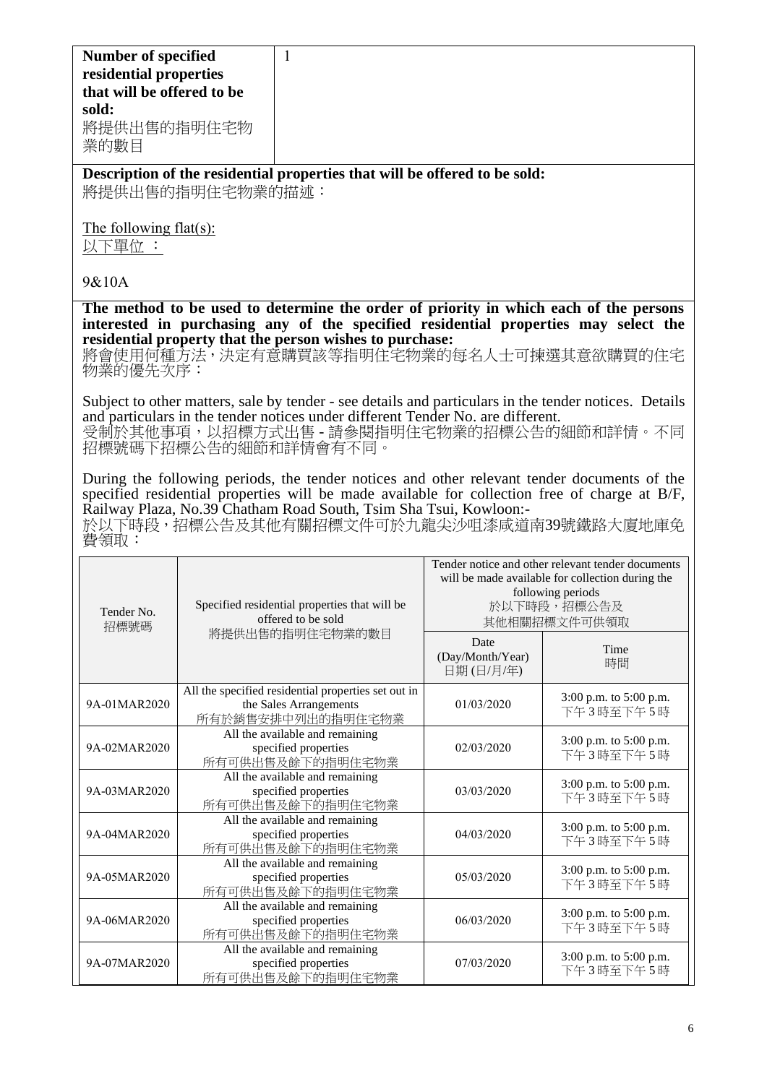**Description of the residential properties that will be offered to be sold:** 將提供出售的指明住宅物業的描述:

The following flat(s):

以下單位 :

## 9&10A

**The method to be used to determine the order of priority in which each of the persons interested in purchasing any of the specified residential properties may select the residential property that the person wishes to purchase:** 

將會使用何種方法,決定有意購買該等指明住宅物業的每名人士可揀選其意欲購買的住宅 物業的優先次序:

Subject to other matters, sale by tender - see details and particulars in the tender notices. Details and particulars in the tender notices under different Tender No. are different. 受制於其他事項,以招標方式出售 - 請參閱指明住宅物業的招標公告的細節和詳情。不同 招標號碼下招標公告的細節和詳情會有不同。

During the following periods, the tender notices and other relevant tender documents of the specified residential properties will be made available for collection free of charge at B/F, Railway Plaza, No.39 Chatham Road South, Tsim Sha Tsui, Kowloon:-

於以下時段,招標公告及其他有關招標文件可於九龍尖沙咀漆咸道南39號鐵路大廈地庫免 費領取:

| Tender No.<br>招標號碼 | Specified residential properties that will be<br>offered to be sold                                | Tender notice and other relevant tender documents<br>will be made available for collection during the<br>following periods<br>於以下時段,招標公告及<br>其他相關招標文件可供領取 |                                     |
|--------------------|----------------------------------------------------------------------------------------------------|-----------------------------------------------------------------------------------------------------------------------------------------------------------|-------------------------------------|
|                    | 將提供出售的指明住宅物業的數目                                                                                    | Date<br>(Day/Month/Year)<br>日期(日/月/年)                                                                                                                     | Time<br>時間                          |
| 9A-01MAR2020       | All the specified residential properties set out in<br>the Sales Arrangements<br>所有於銷售安排中列出的指明住宅物業 | 01/03/2020                                                                                                                                                | 3:00 p.m. to 5:00 p.m.<br>下午3時至下午5時 |
| 9A-02MAR2020       | All the available and remaining<br>specified properties<br>所有可供出售及餘下的指明住宅物業                        | 02/03/2020                                                                                                                                                | 3:00 p.m. to 5:00 p.m.<br>下午3時至下午5時 |
| 9A-03MAR2020       | All the available and remaining<br>specified properties<br>所有可供出售及餘下的指明住宅物業                        | 03/03/2020                                                                                                                                                | 3:00 p.m. to 5:00 p.m.<br>下午3時至下午5時 |
| 9A-04MAR2020       | All the available and remaining<br>specified properties<br>所有可供出售及餘下的指明住宅物業                        | 04/03/2020                                                                                                                                                | 3:00 p.m. to 5:00 p.m.<br>下午3時至下午5時 |
| 9A-05MAR2020       | All the available and remaining<br>specified properties<br>所有可供出售及餘下的指明住宅物業                        | 05/03/2020                                                                                                                                                | 3:00 p.m. to 5:00 p.m.<br>下午3時至下午5時 |
| 9A-06MAR2020       | All the available and remaining<br>specified properties<br>所有可供出售及餘下的指明住宅物業                        | 06/03/2020                                                                                                                                                | 3:00 p.m. to 5:00 p.m.<br>下午3時至下午5時 |
| 9A-07MAR2020       | All the available and remaining<br>specified properties<br>所有可供出售及餘下的指明住宅物業                        | 07/03/2020                                                                                                                                                | 3:00 p.m. to 5:00 p.m.<br>下午3時至下午5時 |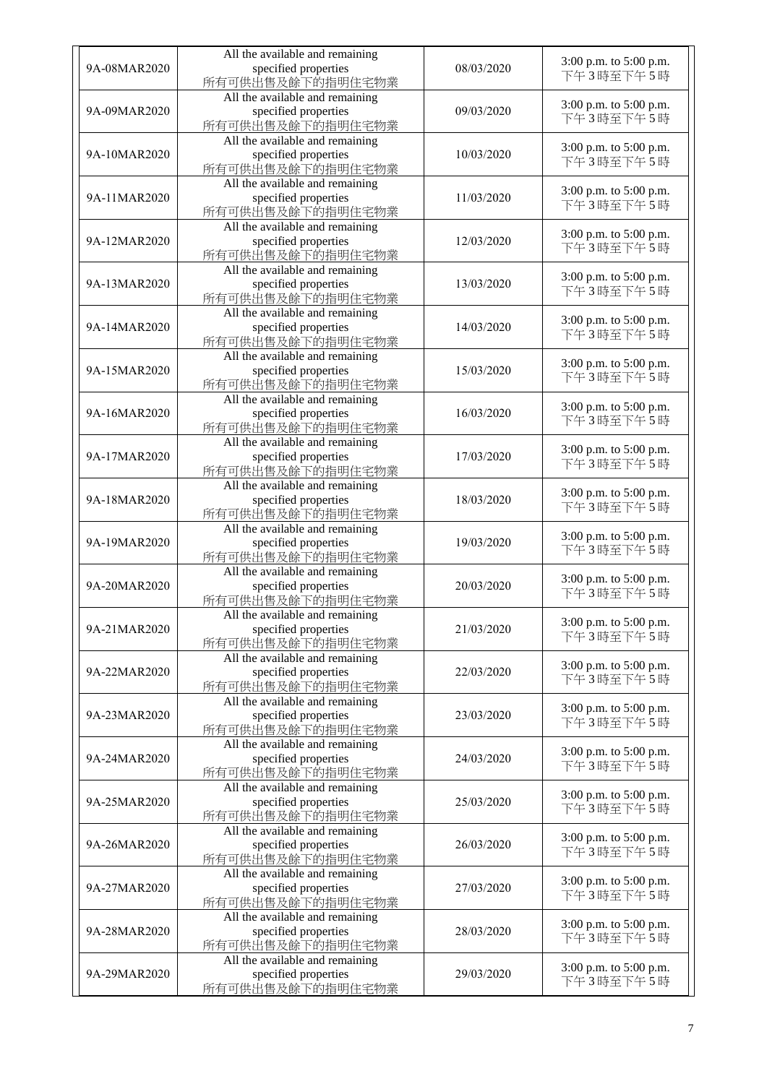| 9A-08MAR2020 | All the available and remaining<br>specified properties<br>所有可供出售及餘下的指明住宅物業 | 08/03/2020 | 3:00 p.m. to 5:00 p.m.<br>下午3時至下午5時 |
|--------------|-----------------------------------------------------------------------------|------------|-------------------------------------|
| 9A-09MAR2020 | All the available and remaining<br>specified properties<br>所有可供出售及餘下的指明住宅物業 | 09/03/2020 | 3:00 p.m. to 5:00 p.m.<br>下午3時至下午5時 |
| 9A-10MAR2020 | All the available and remaining<br>specified properties<br>所有可供出售及餘下的指明住宅物業 | 10/03/2020 | 3:00 p.m. to 5:00 p.m.<br>下午3時至下午5時 |
| 9A-11MAR2020 | All the available and remaining<br>specified properties<br>所有可供出售及餘下的指明住宅物業 | 11/03/2020 | 3:00 p.m. to 5:00 p.m.<br>下午3時至下午5時 |
| 9A-12MAR2020 | All the available and remaining<br>specified properties<br>所有可供出售及餘下的指明住宅物業 | 12/03/2020 | 3:00 p.m. to 5:00 p.m.<br>下午3時至下午5時 |
| 9A-13MAR2020 | All the available and remaining<br>specified properties<br>所有可供出售及餘下的指明住宅物業 | 13/03/2020 | 3:00 p.m. to 5:00 p.m.<br>下午3時至下午5時 |
| 9A-14MAR2020 | All the available and remaining<br>specified properties<br>所有可供出售及餘下的指明住宅物業 | 14/03/2020 | 3:00 p.m. to 5:00 p.m.<br>下午3時至下午5時 |
| 9A-15MAR2020 | All the available and remaining<br>specified properties<br>所有可供出售及餘下的指明住宅物業 | 15/03/2020 | 3:00 p.m. to 5:00 p.m.<br>下午3時至下午5時 |
| 9A-16MAR2020 | All the available and remaining<br>specified properties<br>所有可供出售及餘下的指明住宅物業 | 16/03/2020 | 3:00 p.m. to 5:00 p.m.<br>下午3時至下午5時 |
| 9A-17MAR2020 | All the available and remaining<br>specified properties<br>所有可供出售及餘下的指明住宅物業 | 17/03/2020 | 3:00 p.m. to 5:00 p.m.<br>下午3時至下午5時 |
| 9A-18MAR2020 | All the available and remaining<br>specified properties<br>所有可供出售及餘下的指明住宅物業 | 18/03/2020 | 3:00 p.m. to 5:00 p.m.<br>下午3時至下午5時 |
| 9A-19MAR2020 | All the available and remaining<br>specified properties<br>所有可供出售及餘下的指明住宅物業 | 19/03/2020 | 3:00 p.m. to 5:00 p.m.<br>下午3時至下午5時 |
| 9A-20MAR2020 | All the available and remaining<br>specified properties<br>所有可供出售及餘下的指明住宅物業 | 20/03/2020 | 3:00 p.m. to 5:00 p.m.<br>下午3時至下午5時 |
| 9A-21MAR2020 | All the available and remaining<br>specified properties<br>所有可供出售及餘下的指明住宅物業 | 21/03/2020 | 3:00 p.m. to 5:00 p.m.<br>下午3時至下午5時 |
| 9A-22MAR2020 | All the available and remaining<br>specified properties<br>所有可供出售及餘下的指明住宅物業 | 22/03/2020 | 3:00 p.m. to 5:00 p.m.<br>下午3時至下午5時 |
| 9A-23MAR2020 | All the available and remaining<br>specified properties<br>所有可供出售及餘下的指明住宅物業 | 23/03/2020 | 3:00 p.m. to 5:00 p.m.<br>下午3時至下午5時 |
| 9A-24MAR2020 | All the available and remaining<br>specified properties<br>所有可供出售及餘下的指明住宅物業 | 24/03/2020 | 3:00 p.m. to 5:00 p.m.<br>下午3時至下午5時 |
| 9A-25MAR2020 | All the available and remaining<br>specified properties<br>所有可供出售及餘下的指明住宅物業 | 25/03/2020 | 3:00 p.m. to 5:00 p.m.<br>下午3時至下午5時 |
| 9A-26MAR2020 | All the available and remaining<br>specified properties<br>所有可供出售及餘下的指明住宅物業 | 26/03/2020 | 3:00 p.m. to 5:00 p.m.<br>下午3時至下午5時 |
| 9A-27MAR2020 | All the available and remaining<br>specified properties<br>所有可供出售及餘下的指明住宅物業 | 27/03/2020 | 3:00 p.m. to 5:00 p.m.<br>下午3時至下午5時 |
| 9A-28MAR2020 | All the available and remaining<br>specified properties<br>所有可供出售及餘下的指明住宅物業 | 28/03/2020 | 3:00 p.m. to 5:00 p.m.<br>下午3時至下午5時 |
| 9A-29MAR2020 | All the available and remaining<br>specified properties<br>所有可供出售及餘下的指明住宅物業 | 29/03/2020 | 3:00 p.m. to 5:00 p.m.<br>下午3時至下午5時 |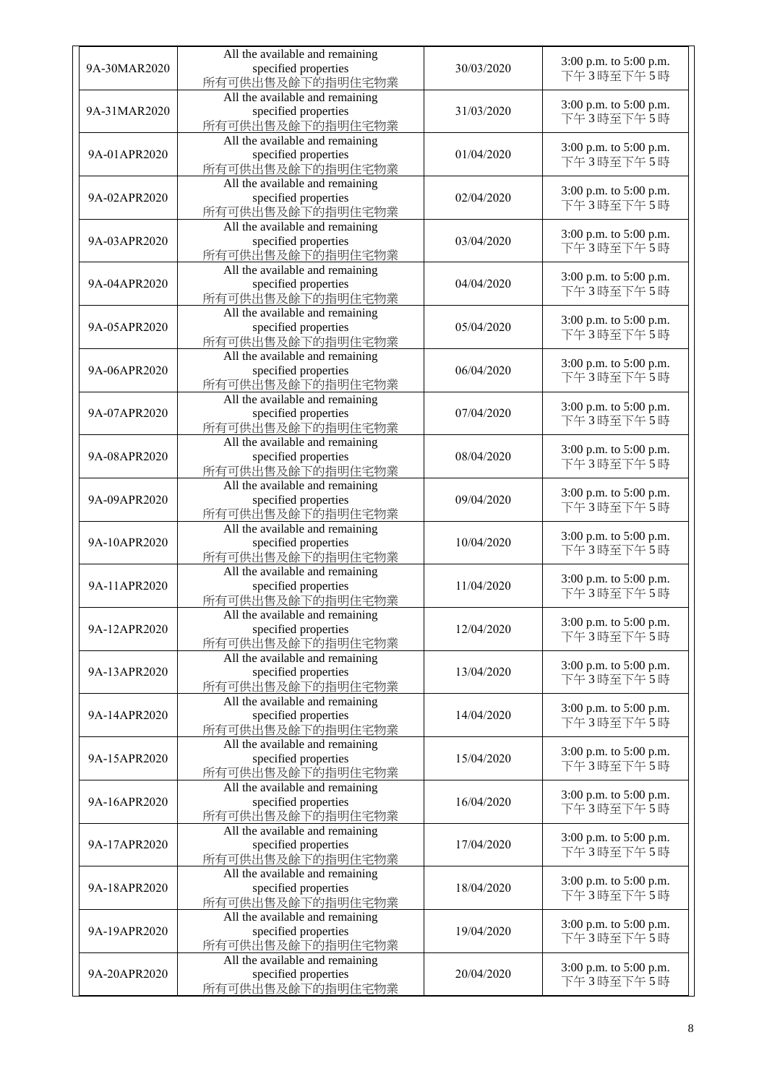| 9A-30MAR2020 | All the available and remaining<br>specified properties<br>所有可供出售及餘下的指明住宅物業 | 30/03/2020 | 3:00 p.m. to 5:00 p.m.<br>下午3時至下午5時 |
|--------------|-----------------------------------------------------------------------------|------------|-------------------------------------|
| 9A-31MAR2020 | All the available and remaining<br>specified properties<br>所有可供出售及餘下的指明住宅物業 | 31/03/2020 | 3:00 p.m. to 5:00 p.m.<br>下午3時至下午5時 |
| 9A-01APR2020 | All the available and remaining<br>specified properties<br>所有可供出售及餘下的指明住宅物業 | 01/04/2020 | 3:00 p.m. to 5:00 p.m.<br>下午3時至下午5時 |
| 9A-02APR2020 | All the available and remaining<br>specified properties<br>所有可供出售及餘下的指明住宅物業 | 02/04/2020 | 3:00 p.m. to 5:00 p.m.<br>下午3時至下午5時 |
| 9A-03APR2020 | All the available and remaining<br>specified properties<br>所有可供出售及餘下的指明住宅物業 | 03/04/2020 | 3:00 p.m. to 5:00 p.m.<br>下午3時至下午5時 |
| 9A-04APR2020 | All the available and remaining<br>specified properties<br>所有可供出售及餘下的指明住宅物業 | 04/04/2020 | 3:00 p.m. to 5:00 p.m.<br>下午3時至下午5時 |
| 9A-05APR2020 | All the available and remaining<br>specified properties<br>所有可供出售及餘下的指明住宅物業 | 05/04/2020 | 3:00 p.m. to 5:00 p.m.<br>下午3時至下午5時 |
| 9A-06APR2020 | All the available and remaining<br>specified properties<br>所有可供出售及餘下的指明住宅物業 | 06/04/2020 | 3:00 p.m. to 5:00 p.m.<br>下午3時至下午5時 |
| 9A-07APR2020 | All the available and remaining<br>specified properties<br>所有可供出售及餘下的指明住宅物業 | 07/04/2020 | 3:00 p.m. to 5:00 p.m.<br>下午3時至下午5時 |
| 9A-08APR2020 | All the available and remaining<br>specified properties<br>所有可供出售及餘下的指明住宅物業 | 08/04/2020 | 3:00 p.m. to 5:00 p.m.<br>下午3時至下午5時 |
| 9A-09APR2020 | All the available and remaining<br>specified properties<br>所有可供出售及餘下的指明住宅物業 | 09/04/2020 | 3:00 p.m. to 5:00 p.m.<br>下午3時至下午5時 |
| 9A-10APR2020 | All the available and remaining<br>specified properties<br>所有可供出售及餘下的指明住宅物業 | 10/04/2020 | 3:00 p.m. to 5:00 p.m.<br>下午3時至下午5時 |
| 9A-11APR2020 | All the available and remaining<br>specified properties<br>所有可供出售及餘下的指明住宅物業 | 11/04/2020 | 3:00 p.m. to 5:00 p.m.<br>下午3時至下午5時 |
| 9A-12APR2020 | All the available and remaining<br>specified properties<br>所有可供出售及餘下的指明住宅物業 | 12/04/2020 | 3:00 p.m. to 5:00 p.m.<br>下午3時至下午5時 |
| 9A-13APR2020 | All the available and remaining<br>specified properties<br>所有可供出售及餘下的指明住宅物業 | 13/04/2020 | 3:00 p.m. to 5:00 p.m.<br>下午3時至下午5時 |
| 9A-14APR2020 | All the available and remaining<br>specified properties<br>所有可供出售及餘下的指明住宅物業 | 14/04/2020 | 3:00 p.m. to 5:00 p.m.<br>下午3時至下午5時 |
| 9A-15APR2020 | All the available and remaining<br>specified properties<br>所有可供出售及餘下的指明住宅物業 | 15/04/2020 | 3:00 p.m. to 5:00 p.m.<br>下午3時至下午5時 |
| 9A-16APR2020 | All the available and remaining<br>specified properties<br>所有可供出售及餘下的指明住宅物業 | 16/04/2020 | 3:00 p.m. to 5:00 p.m.<br>下午3時至下午5時 |
| 9A-17APR2020 | All the available and remaining<br>specified properties<br>所有可供出售及餘下的指明住宅物業 | 17/04/2020 | 3:00 p.m. to 5:00 p.m.<br>下午3時至下午5時 |
| 9A-18APR2020 | All the available and remaining<br>specified properties<br>所有可供出售及餘下的指明住宅物業 | 18/04/2020 | 3:00 p.m. to 5:00 p.m.<br>下午3時至下午5時 |
| 9A-19APR2020 | All the available and remaining<br>specified properties<br>所有可供出售及餘下的指明住宅物業 | 19/04/2020 | 3:00 p.m. to 5:00 p.m.<br>下午3時至下午5時 |
| 9A-20APR2020 | All the available and remaining<br>specified properties<br>所有可供出售及餘下的指明住宅物業 | 20/04/2020 | 3:00 p.m. to 5:00 p.m.<br>下午3時至下午5時 |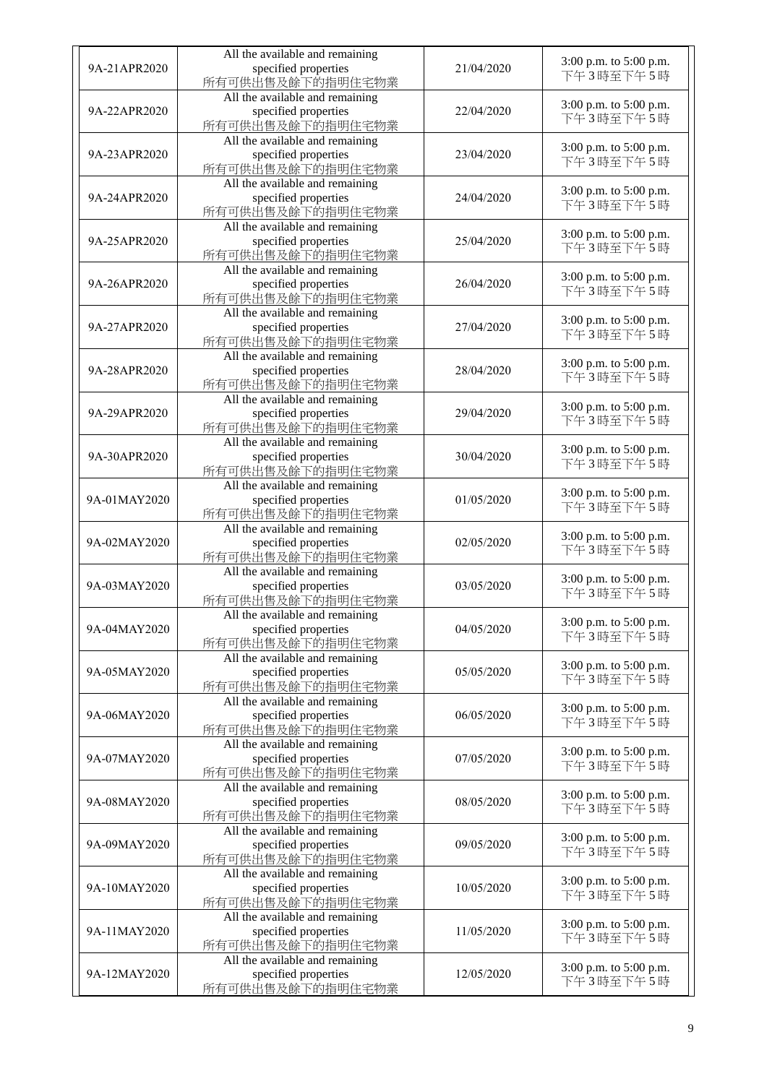| 9A-21APR2020 | All the available and remaining<br>specified properties<br>所有可供出售及餘下的指明住宅物業 | 21/04/2020 | 3:00 p.m. to 5:00 p.m.<br>下午3時至下午5時 |
|--------------|-----------------------------------------------------------------------------|------------|-------------------------------------|
| 9A-22APR2020 | All the available and remaining<br>specified properties<br>所有可供出售及餘下的指明住宅物業 | 22/04/2020 | 3:00 p.m. to 5:00 p.m.<br>下午3時至下午5時 |
| 9A-23APR2020 | All the available and remaining<br>specified properties<br>所有可供出售及餘下的指明住宅物業 | 23/04/2020 | 3:00 p.m. to 5:00 p.m.<br>下午3時至下午5時 |
| 9A-24APR2020 | All the available and remaining<br>specified properties<br>所有可供出售及餘下的指明住宅物業 | 24/04/2020 | 3:00 p.m. to 5:00 p.m.<br>下午3時至下午5時 |
| 9A-25APR2020 | All the available and remaining<br>specified properties<br>所有可供出售及餘下的指明住宅物業 | 25/04/2020 | 3:00 p.m. to 5:00 p.m.<br>下午3時至下午5時 |
| 9A-26APR2020 | All the available and remaining<br>specified properties<br>所有可供出售及餘下的指明住宅物業 | 26/04/2020 | 3:00 p.m. to 5:00 p.m.<br>下午3時至下午5時 |
| 9A-27APR2020 | All the available and remaining<br>specified properties<br>所有可供出售及餘下的指明住宅物業 | 27/04/2020 | 3:00 p.m. to 5:00 p.m.<br>下午3時至下午5時 |
| 9A-28APR2020 | All the available and remaining<br>specified properties<br>所有可供出售及餘下的指明住宅物業 | 28/04/2020 | 3:00 p.m. to 5:00 p.m.<br>下午3時至下午5時 |
| 9A-29APR2020 | All the available and remaining<br>specified properties<br>所有可供出售及餘下的指明住宅物業 | 29/04/2020 | 3:00 p.m. to 5:00 p.m.<br>下午3時至下午5時 |
| 9A-30APR2020 | All the available and remaining<br>specified properties<br>所有可供出售及餘下的指明住宅物業 | 30/04/2020 | 3:00 p.m. to 5:00 p.m.<br>下午3時至下午5時 |
| 9A-01MAY2020 | All the available and remaining<br>specified properties<br>所有可供出售及餘下的指明住宅物業 | 01/05/2020 | 3:00 p.m. to 5:00 p.m.<br>下午3時至下午5時 |
| 9A-02MAY2020 | All the available and remaining<br>specified properties<br>所有可供出售及餘下的指明住宅物業 | 02/05/2020 | 3:00 p.m. to 5:00 p.m.<br>下午3時至下午5時 |
| 9A-03MAY2020 | All the available and remaining<br>specified properties<br>所有可供出售及餘下的指明住宅物業 | 03/05/2020 | 3:00 p.m. to 5:00 p.m.<br>下午3時至下午5時 |
| 9A-04MAY2020 | All the available and remaining<br>specified properties<br>所有可供出售及餘下的指明住宅物業 | 04/05/2020 | 3:00 p.m. to 5:00 p.m.<br>下午3時至下午5時 |
| 9A-05MAY2020 | All the available and remaining<br>specified properties<br>所有可供出售及餘下的指明住宅物業 | 05/05/2020 | 3:00 p.m. to 5:00 p.m.<br>下午3時至下午5時 |
| 9A-06MAY2020 | All the available and remaining<br>specified properties<br>所有可供出售及餘下的指明住宅物業 | 06/05/2020 | 3:00 p.m. to 5:00 p.m.<br>下午3時至下午5時 |
| 9A-07MAY2020 | All the available and remaining<br>specified properties<br>所有可供出售及餘下的指明住宅物業 | 07/05/2020 | 3:00 p.m. to 5:00 p.m.<br>下午3時至下午5時 |
| 9A-08MAY2020 | All the available and remaining<br>specified properties<br>所有可供出售及餘下的指明住宅物業 | 08/05/2020 | 3:00 p.m. to 5:00 p.m.<br>下午3時至下午5時 |
| 9A-09MAY2020 | All the available and remaining<br>specified properties<br>所有可供出售及餘下的指明住宅物業 | 09/05/2020 | 3:00 p.m. to 5:00 p.m.<br>下午3時至下午5時 |
| 9A-10MAY2020 | All the available and remaining<br>specified properties<br>所有可供出售及餘下的指明住宅物業 | 10/05/2020 | 3:00 p.m. to 5:00 p.m.<br>下午3時至下午5時 |
| 9A-11MAY2020 | All the available and remaining<br>specified properties<br>所有可供出售及餘下的指明住宅物業 | 11/05/2020 | 3:00 p.m. to 5:00 p.m.<br>下午3時至下午5時 |
| 9A-12MAY2020 | All the available and remaining<br>specified properties<br>所有可供出售及餘下的指明住宅物業 | 12/05/2020 | 3:00 p.m. to 5:00 p.m.<br>下午3時至下午5時 |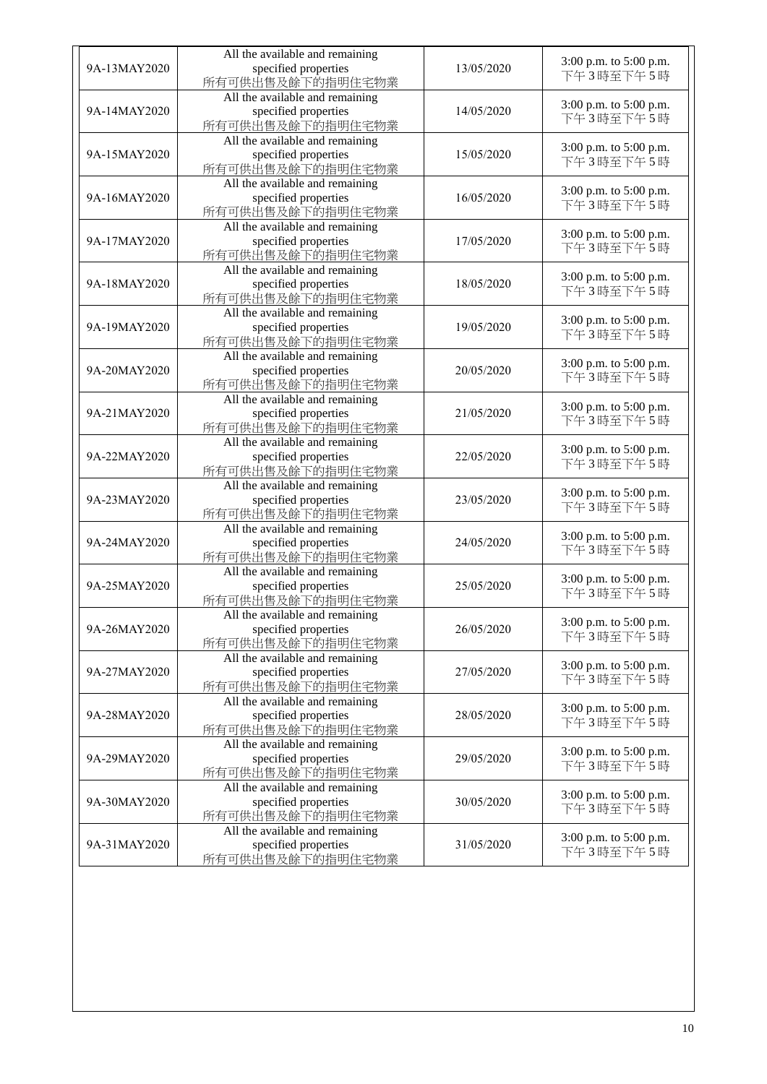|              | All the available and remaining                                             |            |                                     |
|--------------|-----------------------------------------------------------------------------|------------|-------------------------------------|
| 9A-13MAY2020 | specified properties<br>所有可供出售及餘下的指明住宅物業                                    | 13/05/2020 | 3:00 p.m. to 5:00 p.m.<br>下午3時至下午5時 |
| 9A-14MAY2020 | All the available and remaining<br>specified properties<br>所有可供出售及餘下的指明住宅物業 | 14/05/2020 | 3:00 p.m. to 5:00 p.m.<br>下午3時至下午5時 |
| 9A-15MAY2020 | All the available and remaining<br>specified properties<br>所有可供出售及餘下的指明住宅物業 | 15/05/2020 | 3:00 p.m. to 5:00 p.m.<br>下午3時至下午5時 |
| 9A-16MAY2020 | All the available and remaining<br>specified properties<br>所有可供出售及餘下的指明住宅物業 | 16/05/2020 | 3:00 p.m. to 5:00 p.m.<br>下午3時至下午5時 |
| 9A-17MAY2020 | All the available and remaining<br>specified properties<br>所有可供出售及餘下的指明住宅物業 | 17/05/2020 | 3:00 p.m. to 5:00 p.m.<br>下午3時至下午5時 |
| 9A-18MAY2020 | All the available and remaining<br>specified properties<br>所有可供出售及餘下的指明住宅物業 | 18/05/2020 | 3:00 p.m. to 5:00 p.m.<br>下午3時至下午5時 |
| 9A-19MAY2020 | All the available and remaining<br>specified properties<br>所有可供出售及餘下的指明住宅物業 | 19/05/2020 | 3:00 p.m. to 5:00 p.m.<br>下午3時至下午5時 |
| 9A-20MAY2020 | All the available and remaining<br>specified properties<br>所有可供出售及餘下的指明住宅物業 | 20/05/2020 | 3:00 p.m. to 5:00 p.m.<br>下午3時至下午5時 |
| 9A-21MAY2020 | All the available and remaining<br>specified properties<br>所有可供出售及餘下的指明住宅物業 | 21/05/2020 | 3:00 p.m. to 5:00 p.m.<br>下午3時至下午5時 |
| 9A-22MAY2020 | All the available and remaining<br>specified properties<br>所有可供出售及餘下的指明住宅物業 | 22/05/2020 | 3:00 p.m. to 5:00 p.m.<br>下午3時至下午5時 |
| 9A-23MAY2020 | All the available and remaining<br>specified properties<br>所有可供出售及餘下的指明住宅物業 | 23/05/2020 | 3:00 p.m. to 5:00 p.m.<br>下午3時至下午5時 |
| 9A-24MAY2020 | All the available and remaining<br>specified properties<br>所有可供出售及餘下的指明住宅物業 | 24/05/2020 | 3:00 p.m. to 5:00 p.m.<br>下午3時至下午5時 |
| 9A-25MAY2020 | All the available and remaining<br>specified properties<br>所有可供出售及餘下的指明住宅物業 | 25/05/2020 | 3:00 p.m. to 5:00 p.m.<br>下午3時至下午5時 |
| 9A-26MAY2020 | All the available and remaining<br>specified properties<br>所有可供出售及餘下的指明住宅物業 | 26/05/2020 | 3:00 p.m. to 5:00 p.m.<br>下午3時至下午5時 |
| 9A-27MAY2020 | All the available and remaining<br>specified properties<br>所有可供出售及餘下的指明住宅物業 | 27/05/2020 | 3:00 p.m. to 5:00 p.m.<br>下午3時至下午5時 |
| 9A-28MAY2020 | All the available and remaining<br>specified properties<br>所有可供出售及餘下的指明住宅物業 | 28/05/2020 | 3:00 p.m. to 5:00 p.m.<br>下午3時至下午5時 |
| 9A-29MAY2020 | All the available and remaining<br>specified properties<br>所有可供出售及餘下的指明住宅物業 | 29/05/2020 | 3:00 p.m. to 5:00 p.m.<br>下午3時至下午5時 |
| 9A-30MAY2020 | All the available and remaining<br>specified properties<br>所有可供出售及餘下的指明住宅物業 | 30/05/2020 | 3:00 p.m. to 5:00 p.m.<br>下午3時至下午5時 |
| 9A-31MAY2020 | All the available and remaining<br>specified properties<br>所有可供出售及餘下的指明住宅物業 | 31/05/2020 | 3:00 p.m. to 5:00 p.m.<br>下午3時至下午5時 |